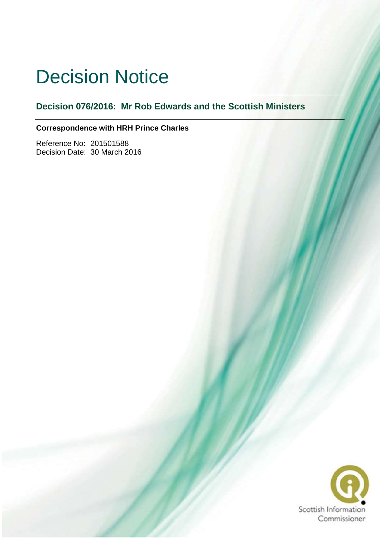# Decision Notice

**Decision 076/2016: Mr Rob Edwards and the Scottish Ministers**

# **Correspondence with HRH Prince Charles**

Reference No: 201501588 Decision Date: 30 March 2016

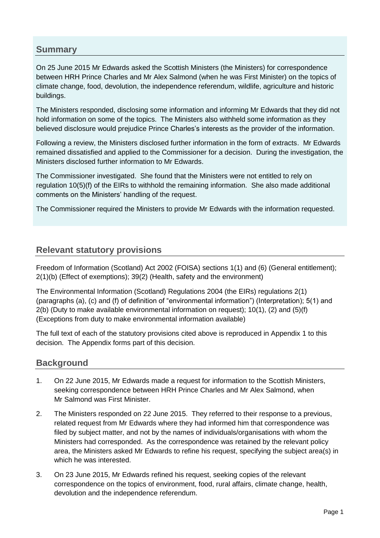# **Summary**

On 25 June 2015 Mr Edwards asked the Scottish Ministers (the Ministers) for correspondence between HRH Prince Charles and Mr Alex Salmond (when he was First Minister) on the topics of climate change, food, devolution, the independence referendum, wildlife, agriculture and historic buildings.

The Ministers responded, disclosing some information and informing Mr Edwards that they did not hold information on some of the topics. The Ministers also withheld some information as they believed disclosure would prejudice Prince Charles's interests as the provider of the information.

Following a review, the Ministers disclosed further information in the form of extracts. Mr Edwards remained dissatisfied and applied to the Commissioner for a decision. During the investigation, the Ministers disclosed further information to Mr Edwards.

The Commissioner investigated. She found that the Ministers were not entitled to rely on regulation 10(5)(f) of the EIRs to withhold the remaining information. She also made additional comments on the Ministers' handling of the request.

The Commissioner required the Ministers to provide Mr Edwards with the information requested.

# **Relevant statutory provisions**

Freedom of Information (Scotland) Act 2002 (FOISA) sections 1(1) and (6) (General entitlement); 2(1)(b) (Effect of exemptions); 39(2) (Health, safety and the environment)

The Environmental Information (Scotland) Regulations 2004 (the EIRs) regulations 2(1) (paragraphs (a), (c) and (f) of definition of "environmental information") (Interpretation); 5(1) and  $2(b)$  (Duty to make available environmental information on request); 10(1), (2) and (5)(f) (Exceptions from duty to make environmental information available)

The full text of each of the statutory provisions cited above is reproduced in Appendix 1 to this decision. The Appendix forms part of this decision.

# **Background**

- 1. On 22 June 2015, Mr Edwards made a request for information to the Scottish Ministers, seeking correspondence between HRH Prince Charles and Mr Alex Salmond, when Mr Salmond was First Minister.
- 2. The Ministers responded on 22 June 2015. They referred to their response to a previous, related request from Mr Edwards where they had informed him that correspondence was filed by subject matter, and not by the names of individuals/organisations with whom the Ministers had corresponded. As the correspondence was retained by the relevant policy area, the Ministers asked Mr Edwards to refine his request, specifying the subject area(s) in which he was interested.
- 3. On 23 June 2015, Mr Edwards refined his request, seeking copies of the relevant correspondence on the topics of environment, food, rural affairs, climate change, health, devolution and the independence referendum.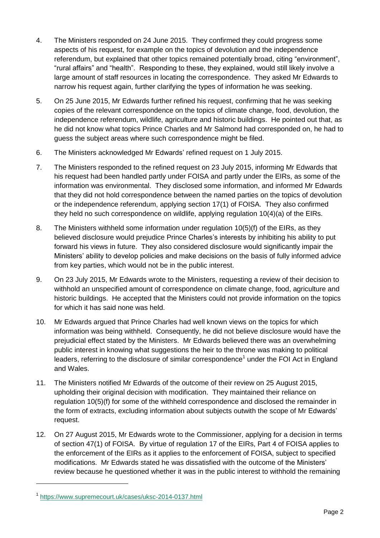- 4. The Ministers responded on 24 June 2015. They confirmed they could progress some aspects of his request, for example on the topics of devolution and the independence referendum, but explained that other topics remained potentially broad, citing "environment", "rural affairs" and "health". Responding to these, they explained, would still likely involve a large amount of staff resources in locating the correspondence. They asked Mr Edwards to narrow his request again, further clarifying the types of information he was seeking.
- 5. On 25 June 2015, Mr Edwards further refined his request, confirming that he was seeking copies of the relevant correspondence on the topics of climate change, food, devolution, the independence referendum, wildlife, agriculture and historic buildings. He pointed out that, as he did not know what topics Prince Charles and Mr Salmond had corresponded on, he had to guess the subject areas where such correspondence might be filed.
- 6. The Ministers acknowledged Mr Edwards' refined request on 1 July 2015.
- 7. The Ministers responded to the refined request on 23 July 2015, informing Mr Edwards that his request had been handled partly under FOISA and partly under the EIRs, as some of the information was environmental. They disclosed some information, and informed Mr Edwards that they did not hold correspondence between the named parties on the topics of devolution or the independence referendum, applying section 17(1) of FOISA. They also confirmed they held no such correspondence on wildlife, applying regulation 10(4)(a) of the EIRs.
- 8. The Ministers withheld some information under regulation 10(5)(f) of the EIRs, as they believed disclosure would prejudice Prince Charles's interests by inhibiting his ability to put forward his views in future. They also considered disclosure would significantly impair the Ministers' ability to develop policies and make decisions on the basis of fully informed advice from key parties, which would not be in the public interest.
- 9. On 23 July 2015, Mr Edwards wrote to the Ministers, requesting a review of their decision to withhold an unspecified amount of correspondence on climate change, food, agriculture and historic buildings. He accepted that the Ministers could not provide information on the topics for which it has said none was held.
- 10. Mr Edwards argued that Prince Charles had well known views on the topics for which information was being withheld. Consequently, he did not believe disclosure would have the prejudicial effect stated by the Ministers. Mr Edwards believed there was an overwhelming public interest in knowing what suggestions the heir to the throne was making to political leaders, referring to the disclosure of similar correspondence<sup>1</sup> under the FOI Act in England and Wales.
- 11. The Ministers notified Mr Edwards of the outcome of their review on 25 August 2015, upholding their original decision with modification. They maintained their reliance on regulation 10(5)(f) for some of the withheld correspondence and disclosed the remainder in the form of extracts, excluding information about subjects outwith the scope of Mr Edwards' request.
- 12. On 27 August 2015, Mr Edwards wrote to the Commissioner, applying for a decision in terms of section 47(1) of FOISA. By virtue of regulation 17 of the EIRs, Part 4 of FOISA applies to the enforcement of the EIRs as it applies to the enforcement of FOISA, subject to specified modifications. Mr Edwards stated he was dissatisfied with the outcome of the Ministers' review because he questioned whether it was in the public interest to withhold the remaining

-

<sup>1</sup> <https://www.supremecourt.uk/cases/uksc-2014-0137.html>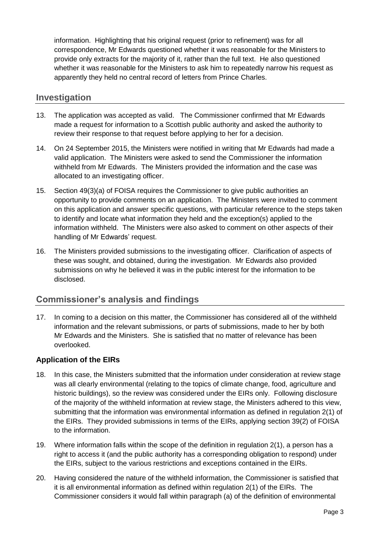information. Highlighting that his original request (prior to refinement) was for all correspondence, Mr Edwards questioned whether it was reasonable for the Ministers to provide only extracts for the majority of it, rather than the full text. He also questioned whether it was reasonable for the Ministers to ask him to repeatedly narrow his request as apparently they held no central record of letters from Prince Charles.

# **Investigation**

- 13. The application was accepted as valid. The Commissioner confirmed that Mr Edwards made a request for information to a Scottish public authority and asked the authority to review their response to that request before applying to her for a decision.
- 14. On 24 September 2015, the Ministers were notified in writing that Mr Edwards had made a valid application. The Ministers were asked to send the Commissioner the information withheld from Mr Edwards. The Ministers provided the information and the case was allocated to an investigating officer.
- 15. Section 49(3)(a) of FOISA requires the Commissioner to give public authorities an opportunity to provide comments on an application. The Ministers were invited to comment on this application and answer specific questions, with particular reference to the steps taken to identify and locate what information they held and the exception(s) applied to the information withheld. The Ministers were also asked to comment on other aspects of their handling of Mr Edwards' request.
- 16. The Ministers provided submissions to the investigating officer. Clarification of aspects of these was sought, and obtained, during the investigation. Mr Edwards also provided submissions on why he believed it was in the public interest for the information to be disclosed.

# **Commissioner's analysis and findings**

17. In coming to a decision on this matter, the Commissioner has considered all of the withheld information and the relevant submissions, or parts of submissions, made to her by both Mr Edwards and the Ministers. She is satisfied that no matter of relevance has been overlooked.

#### **Application of the EIRs**

- 18. In this case, the Ministers submitted that the information under consideration at review stage was all clearly environmental (relating to the topics of climate change, food, agriculture and historic buildings), so the review was considered under the EIRs only. Following disclosure of the majority of the withheld information at review stage, the Ministers adhered to this view, submitting that the information was environmental information as defined in regulation 2(1) of the EIRs. They provided submissions in terms of the EIRs, applying section 39(2) of FOISA to the information.
- 19. Where information falls within the scope of the definition in regulation 2(1), a person has a right to access it (and the public authority has a corresponding obligation to respond) under the EIRs, subject to the various restrictions and exceptions contained in the EIRs.
- 20. Having considered the nature of the withheld information, the Commissioner is satisfied that it is all environmental information as defined within regulation 2(1) of the EIRs. The Commissioner considers it would fall within paragraph (a) of the definition of environmental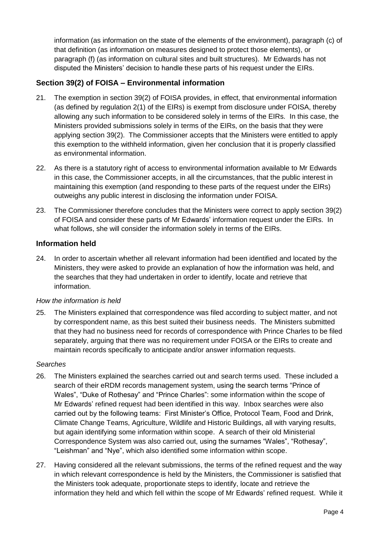information (as information on the state of the elements of the environment), paragraph (c) of that definition (as information on measures designed to protect those elements), or paragraph (f) (as information on cultural sites and built structures). Mr Edwards has not disputed the Ministers' decision to handle these parts of his request under the EIRs.

# **Section 39(2) of FOISA – Environmental information**

- 21. The exemption in section 39(2) of FOISA provides, in effect, that environmental information (as defined by regulation 2(1) of the EIRs) is exempt from disclosure under FOISA, thereby allowing any such information to be considered solely in terms of the EIRs. In this case, the Ministers provided submissions solely in terms of the EIRs, on the basis that they were applying section 39(2). The Commissioner accepts that the Ministers were entitled to apply this exemption to the withheld information, given her conclusion that it is properly classified as environmental information.
- 22. As there is a statutory right of access to environmental information available to Mr Edwards in this case, the Commissioner accepts, in all the circumstances, that the public interest in maintaining this exemption (and responding to these parts of the request under the EIRs) outweighs any public interest in disclosing the information under FOISA.
- 23. The Commissioner therefore concludes that the Ministers were correct to apply section 39(2) of FOISA and consider these parts of Mr Edwards' information request under the EIRs. In what follows, she will consider the information solely in terms of the EIRs.

#### **Information held**

24. In order to ascertain whether all relevant information had been identified and located by the Ministers, they were asked to provide an explanation of how the information was held, and the searches that they had undertaken in order to identify, locate and retrieve that information.

#### *How the information is held*

25. The Ministers explained that correspondence was filed according to subject matter, and not by correspondent name, as this best suited their business needs. The Ministers submitted that they had no business need for records of correspondence with Prince Charles to be filed separately, arguing that there was no requirement under FOISA or the EIRs to create and maintain records specifically to anticipate and/or answer information requests.

#### *Searches*

- 26. The Ministers explained the searches carried out and search terms used. These included a search of their eRDM records management system, using the search terms "Prince of Wales", "Duke of Rothesay" and "Prince Charles": some information within the scope of Mr Edwards' refined request had been identified in this way. Inbox searches were also carried out by the following teams: First Minister's Office, Protocol Team, Food and Drink, Climate Change Teams, Agriculture, Wildlife and Historic Buildings, all with varying results, but again identifying some information within scope. A search of their old Ministerial Correspondence System was also carried out, using the surnames "Wales", "Rothesay", "Leishman" and "Nye", which also identified some information within scope.
- 27. Having considered all the relevant submissions, the terms of the refined request and the way in which relevant correspondence is held by the Ministers, the Commissioner is satisfied that the Ministers took adequate, proportionate steps to identify, locate and retrieve the information they held and which fell within the scope of Mr Edwards' refined request. While it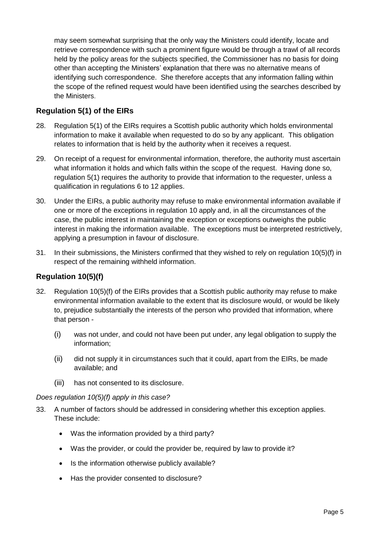may seem somewhat surprising that the only way the Ministers could identify, locate and retrieve correspondence with such a prominent figure would be through a trawl of all records held by the policy areas for the subjects specified, the Commissioner has no basis for doing other than accepting the Ministers' explanation that there was no alternative means of identifying such correspondence. She therefore accepts that any information falling within the scope of the refined request would have been identified using the searches described by the Ministers.

# **Regulation 5(1) of the EIRs**

- 28. Regulation 5(1) of the EIRs requires a Scottish public authority which holds environmental information to make it available when requested to do so by any applicant. This obligation relates to information that is held by the authority when it receives a request.
- 29. On receipt of a request for environmental information, therefore, the authority must ascertain what information it holds and which falls within the scope of the request. Having done so, regulation 5(1) requires the authority to provide that information to the requester, unless a qualification in regulations 6 to 12 applies.
- 30. Under the EIRs, a public authority may refuse to make environmental information available if one or more of the exceptions in regulation 10 apply and, in all the circumstances of the case, the public interest in maintaining the exception or exceptions outweighs the public interest in making the information available. The exceptions must be interpreted restrictively, applying a presumption in favour of disclosure.
- 31. In their submissions, the Ministers confirmed that they wished to rely on regulation 10(5)(f) in respect of the remaining withheld information.

# **Regulation 10(5)(f)**

- 32. Regulation 10(5)(f) of the EIRs provides that a Scottish public authority may refuse to make environmental information available to the extent that its disclosure would, or would be likely to, prejudice substantially the interests of the person who provided that information, where that person -
	- (i) was not under, and could not have been put under, any legal obligation to supply the information;
	- (ii) did not supply it in circumstances such that it could, apart from the EIRs, be made available; and
	- (iii) has not consented to its disclosure.

#### *Does regulation 10(5)(f) apply in this case?*

- 33. A number of factors should be addressed in considering whether this exception applies. These include:
	- Was the information provided by a third party?
	- Was the provider, or could the provider be, required by law to provide it?
	- Is the information otherwise publicly available?
	- Has the provider consented to disclosure?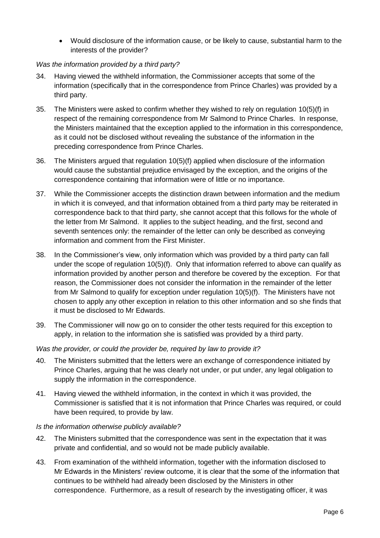Would disclosure of the information cause, or be likely to cause, substantial harm to the interests of the provider?

#### *Was the information provided by a third party?*

- 34. Having viewed the withheld information, the Commissioner accepts that some of the information (specifically that in the correspondence from Prince Charles) was provided by a third party.
- 35. The Ministers were asked to confirm whether they wished to rely on regulation 10(5)(f) in respect of the remaining correspondence from Mr Salmond to Prince Charles. In response, the Ministers maintained that the exception applied to the information in this correspondence, as it could not be disclosed without revealing the substance of the information in the preceding correspondence from Prince Charles.
- 36. The Ministers argued that regulation 10(5)(f) applied when disclosure of the information would cause the substantial prejudice envisaged by the exception, and the origins of the correspondence containing that information were of little or no importance.
- 37. While the Commissioner accepts the distinction drawn between information and the medium in which it is conveyed, and that information obtained from a third party may be reiterated in correspondence back to that third party, she cannot accept that this follows for the whole of the letter from Mr Salmond. It applies to the subject heading, and the first, second and seventh sentences only: the remainder of the letter can only be described as conveying information and comment from the First Minister.
- 38. In the Commissioner's view, only information which was provided by a third party can fall under the scope of regulation 10(5)(f). Only that information referred to above can qualify as information provided by another person and therefore be covered by the exception. For that reason, the Commissioner does not consider the information in the remainder of the letter from Mr Salmond to qualify for exception under regulation 10(5)(f). The Ministers have not chosen to apply any other exception in relation to this other information and so she finds that it must be disclosed to Mr Edwards.
- 39. The Commissioner will now go on to consider the other tests required for this exception to apply, in relation to the information she is satisfied was provided by a third party.

#### *Was the provider, or could the provider be, required by law to provide it?*

- 40. The Ministers submitted that the letters were an exchange of correspondence initiated by Prince Charles, arguing that he was clearly not under, or put under, any legal obligation to supply the information in the correspondence.
- 41. Having viewed the withheld information, in the context in which it was provided, the Commissioner is satisfied that it is not information that Prince Charles was required, or could have been required, to provide by law.

#### *Is the information otherwise publicly available?*

- 42. The Ministers submitted that the correspondence was sent in the expectation that it was private and confidential, and so would not be made publicly available.
- 43. From examination of the withheld information, together with the information disclosed to Mr Edwards in the Ministers' review outcome, it is clear that the some of the information that continues to be withheld had already been disclosed by the Ministers in other correspondence. Furthermore, as a result of research by the investigating officer, it was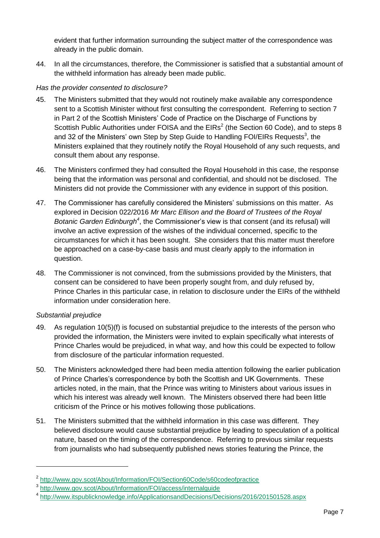evident that further information surrounding the subject matter of the correspondence was already in the public domain.

44. In all the circumstances, therefore, the Commissioner is satisfied that a substantial amount of the withheld information has already been made public.

#### *Has the provider consented to disclosure?*

- 45. The Ministers submitted that they would not routinely make available any correspondence sent to a Scottish Minister without first consulting the correspondent. Referring to section 7 in Part 2 of the Scottish Ministers' Code of Practice on the Discharge of Functions by Scottish Public Authorities under FOISA and the  $EIRS<sup>2</sup>$  (the Section 60 Code), and to steps 8 and 32 of the Ministers' own Step by Step Guide to Handling FOI/EIRs Requests<sup>3</sup>, the Ministers explained that they routinely notify the Royal Household of any such requests, and consult them about any response.
- 46. The Ministers confirmed they had consulted the Royal Household in this case, the response being that the information was personal and confidential, and should not be disclosed. The Ministers did not provide the Commissioner with any evidence in support of this position.
- 47. The Commissioner has carefully considered the Ministers' submissions on this matter. As explored in Decision 022/2016 *Mr Marc Ellison and the Board of Trustees of the Royal*  Botanic Garden Edinburgh<sup>4</sup>, the Commissioner's view is that consent (and its refusal) will involve an active expression of the wishes of the individual concerned, specific to the circumstances for which it has been sought. She considers that this matter must therefore be approached on a case-by-case basis and must clearly apply to the information in question.
- 48. The Commissioner is not convinced, from the submissions provided by the Ministers, that consent can be considered to have been properly sought from, and duly refused by, Prince Charles in this particular case, in relation to disclosure under the EIRs of the withheld information under consideration here.

#### *Substantial prejudice*

-

- 49. As regulation 10(5)(f) is focused on substantial prejudice to the interests of the person who provided the information, the Ministers were invited to explain specifically what interests of Prince Charles would be prejudiced, in what way, and how this could be expected to follow from disclosure of the particular information requested.
- 50. The Ministers acknowledged there had been media attention following the earlier publication of Prince Charles's correspondence by both the Scottish and UK Governments. These articles noted, in the main, that the Prince was writing to Ministers about various issues in which his interest was already well known. The Ministers observed there had been little criticism of the Prince or his motives following those publications.
- 51. The Ministers submitted that the withheld information in this case was different. They believed disclosure would cause substantial prejudice by leading to speculation of a political nature, based on the timing of the correspondence. Referring to previous similar requests from journalists who had subsequently published news stories featuring the Prince, the

<sup>&</sup>lt;sup>2</sup> <http://www.gov.scot/About/Information/FOI/Section60Code/s60codeofpractice>

<sup>3</sup> <http://www.gov.scot/About/Information/FOI/access/internalguide>

<sup>4</sup> <http://www.itspublicknowledge.info/ApplicationsandDecisions/Decisions/2016/201501528.aspx>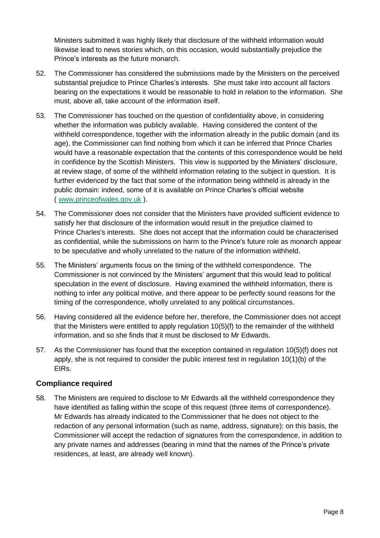Ministers submitted it was highly likely that disclosure of the withheld information would likewise lead to news stories which, on this occasion, would substantially prejudice the Prince's interests as the future monarch.

- 52. The Commissioner has considered the submissions made by the Ministers on the perceived substantial prejudice to Prince Charles's interests. She must take into account all factors bearing on the expectations it would be reasonable to hold in relation to the information. She must, above all, take account of the information itself.
- 53. The Commissioner has touched on the question of confidentiality above, in considering whether the information was publicly available. Having considered the content of the withheld correspondence, together with the information already in the public domain (and its age), the Commissioner can find nothing from which it can be inferred that Prince Charles would have a reasonable expectation that the contents of this correspondence would be held in confidence by the Scottish Ministers. This view is supported by the Ministers' disclosure, at review stage, of some of the withheld information relating to the subject in question. It is further evidenced by the fact that some of the information being withheld is already in the public domain: indeed, some of it is available on Prince Charles's official website ( [www.princeofwales.gov.uk](http://www.princeofwales.gov.uk/) ).
- 54. The Commissioner does not consider that the Ministers have provided sufficient evidence to satisfy her that disclosure of the information would result in the prejudice claimed to Prince Charles's interests. She does not accept that the information could be characterised as confidential, while the submissions on harm to the Prince's future role as monarch appear to be speculative and wholly unrelated to the nature of the information withheld.
- 55. The Ministers' arguments focus on the timing of the withheld correspondence. The Commissioner is not convinced by the Ministers' argument that this would lead to political speculation in the event of disclosure. Having examined the withheld information, there is nothing to infer any political motive, and there appear to be perfectly sound reasons for the timing of the correspondence, wholly unrelated to any political circumstances.
- 56. Having considered all the evidence before her, therefore, the Commissioner does not accept that the Ministers were entitled to apply regulation 10(5)(f) to the remainder of the withheld information, and so she finds that it must be disclosed to Mr Edwards.
- 57. As the Commissioner has found that the exception contained in regulation 10(5)(f) does not apply, she is not required to consider the public interest test in regulation 10(1)(b) of the EIRs.

#### **Compliance required**

58. The Ministers are required to disclose to Mr Edwards all the withheld correspondence they have identified as falling within the scope of this request (three items of correspondence). Mr Edwards has already indicated to the Commissioner that he does not object to the redaction of any personal information (such as name, address, signature): on this basis, the Commissioner will accept the redaction of signatures from the correspondence, in addition to any private names and addresses (bearing in mind that the names of the Prince's private residences, at least, are already well known).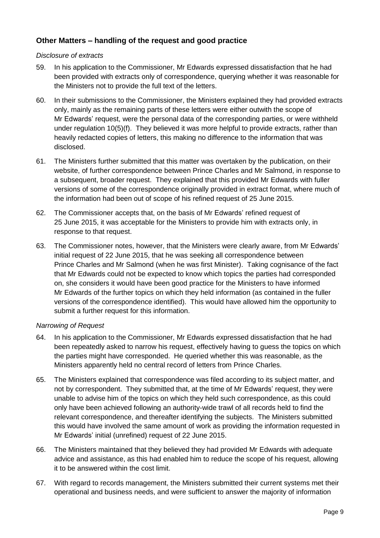# **Other Matters – handling of the request and good practice**

#### *Disclosure of extracts*

- 59. In his application to the Commissioner, Mr Edwards expressed dissatisfaction that he had been provided with extracts only of correspondence, querying whether it was reasonable for the Ministers not to provide the full text of the letters.
- 60. In their submissions to the Commissioner, the Ministers explained they had provided extracts only, mainly as the remaining parts of these letters were either outwith the scope of Mr Edwards' request, were the personal data of the corresponding parties, or were withheld under regulation 10(5)(f). They believed it was more helpful to provide extracts, rather than heavily redacted copies of letters, this making no difference to the information that was disclosed.
- 61. The Ministers further submitted that this matter was overtaken by the publication, on their website, of further correspondence between Prince Charles and Mr Salmond, in response to a subsequent, broader request. They explained that this provided Mr Edwards with fuller versions of some of the correspondence originally provided in extract format, where much of the information had been out of scope of his refined request of 25 June 2015.
- 62. The Commissioner accepts that, on the basis of Mr Edwards' refined request of 25 June 2015, it was acceptable for the Ministers to provide him with extracts only, in response to that request.
- 63. The Commissioner notes, however, that the Ministers were clearly aware, from Mr Edwards' initial request of 22 June 2015, that he was seeking all correspondence between Prince Charles and Mr Salmond (when he was first Minister). Taking cognisance of the fact that Mr Edwards could not be expected to know which topics the parties had corresponded on, she considers it would have been good practice for the Ministers to have informed Mr Edwards of the further topics on which they held information (as contained in the fuller versions of the correspondence identified). This would have allowed him the opportunity to submit a further request for this information.

#### *Narrowing of Request*

- 64. In his application to the Commissioner, Mr Edwards expressed dissatisfaction that he had been repeatedly asked to narrow his request, effectively having to guess the topics on which the parties might have corresponded. He queried whether this was reasonable, as the Ministers apparently held no central record of letters from Prince Charles.
- 65. The Ministers explained that correspondence was filed according to its subject matter, and not by correspondent. They submitted that, at the time of Mr Edwards' request, they were unable to advise him of the topics on which they held such correspondence, as this could only have been achieved following an authority-wide trawl of all records held to find the relevant correspondence, and thereafter identifying the subjects. The Ministers submitted this would have involved the same amount of work as providing the information requested in Mr Edwards' initial (unrefined) request of 22 June 2015.
- 66. The Ministers maintained that they believed they had provided Mr Edwards with adequate advice and assistance, as this had enabled him to reduce the scope of his request, allowing it to be answered within the cost limit.
- 67. With regard to records management, the Ministers submitted their current systems met their operational and business needs, and were sufficient to answer the majority of information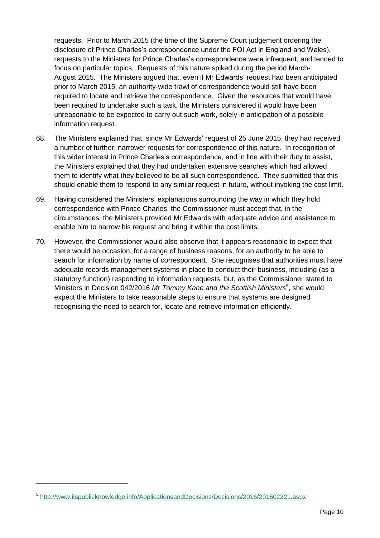requests. Prior to March 2015 (the time of the Supreme Court judgement ordering the disclosure of Prince Charles's correspondence under the FOI Act in England and Wales), requests to the Ministers for Prince Charles's correspondence were infrequent, and tended to focus on particular topics. Requests of this nature spiked during the period March-August 2015. The Ministers argued that, even if Mr Edwards' request had been anticipated prior to March 2015, an authority-wide trawl of correspondence would still have been required to locate and retrieve the correspondence. Given the resources that would have been required to undertake such a task, the Ministers considered it would have been unreasonable to be expected to carry out such work, solely in anticipation of a possible information request.

- 68. The Ministers explained that, since Mr Edwards' request of 25 June 2015, they had received a number of further, narrower requests for correspondence of this nature. In recognition of this wider interest in Prince Charles's correspondence, and in line with their duty to assist, the Ministers explained that they had undertaken extensive searches which had allowed them to identify what they believed to be all such correspondence. They submitted that this should enable them to respond to any similar request in future, without invoking the cost limit.
- 69. Having considered the Ministers' explanations surrounding the way in which they hold correspondence with Prince Charles, the Commissioner must accept that, in the circumstances, the Ministers provided Mr Edwards with adequate advice and assistance to enable him to narrow his request and bring it within the cost limits.
- 70. However, the Commissioner would also observe that it appears reasonable to expect that there would be occasion, for a range of business reasons, for an authority to be able to search for information by name of correspondent. She recognises that authorities must have adequate records management systems in place to conduct their business, including (as a statutory function) responding to information requests, but, as the Commissioner stated to Ministers in Decision 042/2016 *Mr Tommy Kane and the Scottish Ministers<sup>5</sup>* , she would expect the Ministers to take reasonable steps to ensure that systems are designed recognising the need to search for, locate and retrieve information efficiently.

-

<sup>5</sup> <http://www.itspublicknowledge.info/ApplicationsandDecisions/Decisions/2016/201502221.aspx>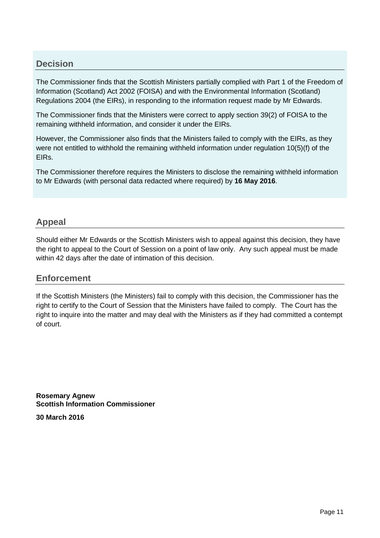# **Decision**

The Commissioner finds that the Scottish Ministers partially complied with Part 1 of the Freedom of Information (Scotland) Act 2002 (FOISA) and with the Environmental Information (Scotland) Regulations 2004 (the EIRs), in responding to the information request made by Mr Edwards.

The Commissioner finds that the Ministers were correct to apply section 39(2) of FOISA to the remaining withheld information, and consider it under the EIRs.

However, the Commissioner also finds that the Ministers failed to comply with the EIRs, as they were not entitled to withhold the remaining withheld information under regulation 10(5)(f) of the EIRs.

The Commissioner therefore requires the Ministers to disclose the remaining withheld information to Mr Edwards (with personal data redacted where required) by **16 May 2016**.

# **Appeal**

Should either Mr Edwards or the Scottish Ministers wish to appeal against this decision, they have the right to appeal to the Court of Session on a point of law only. Any such appeal must be made within 42 days after the date of intimation of this decision.

# **Enforcement**

If the Scottish Ministers (the Ministers) fail to comply with this decision, the Commissioner has the right to certify to the Court of Session that the Ministers have failed to comply. The Court has the right to inquire into the matter and may deal with the Ministers as if they had committed a contempt of court.

**Rosemary Agnew Scottish Information Commissioner**

**30 March 2016**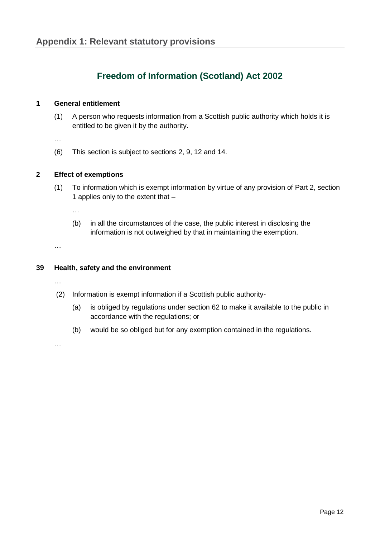# **Freedom of Information (Scotland) Act 2002**

#### **1 General entitlement**

(1) A person who requests information from a Scottish public authority which holds it is entitled to be given it by the authority.

…

(6) This section is subject to sections 2, 9, 12 and 14.

#### **2 Effect of exemptions**

(1) To information which is exempt information by virtue of any provision of Part 2, section 1 applies only to the extent that –

…

(b) in all the circumstances of the case, the public interest in disclosing the information is not outweighed by that in maintaining the exemption.

…

#### **39 Health, safety and the environment**

…

- (2) Information is exempt information if a Scottish public authority-
	- (a) is obliged by regulations under section 62 to make it available to the public in accordance with the regulations; or
	- (b) would be so obliged but for any exemption contained in the regulations.

…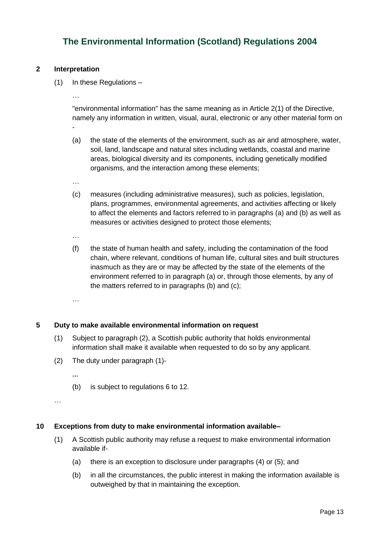# **The Environmental Information (Scotland) Regulations 2004**

#### **2 Interpretation**

…

(1) In these Regulations –

"environmental information" has the same meaning as in Article 2(1) of the Directive, namely any information in written, visual, aural, electronic or any other material form on -

- (a) the state of the elements of the environment, such as air and atmosphere, water, soil, land, landscape and natural sites including wetlands, coastal and marine areas, biological diversity and its components, including genetically modified organisms, and the interaction among these elements;
- …
- (c) measures (including administrative measures), such as policies, legislation, plans, programmes, environmental agreements, and activities affecting or likely to affect the elements and factors referred to in paragraphs (a) and (b) as well as measures or activities designed to protect those elements;
- …
- (f) the state of human health and safety, including the contamination of the food chain, where relevant, conditions of human life, cultural sites and built structures inasmuch as they are or may be affected by the state of the elements of the environment referred to in paragraph (a) or, through those elements, by any of the matters referred to in paragraphs (b) and (c);
- …

#### **5 Duty to make available environmental information on request**

- (1) Subject to paragraph (2), a Scottish public authority that holds environmental information shall make it available when requested to do so by any applicant.
- (2) The duty under paragraph (1)-
	- ,,,
	- (b) is subject to regulations 6 to 12.

```
…
```
#### **10 Exceptions from duty to make environmental information available–**

- (1) A Scottish public authority may refuse a request to make environmental information available if-
	- (a) there is an exception to disclosure under paragraphs (4) or (5); and
	- (b) in all the circumstances, the public interest in making the information available is outweighed by that in maintaining the exception.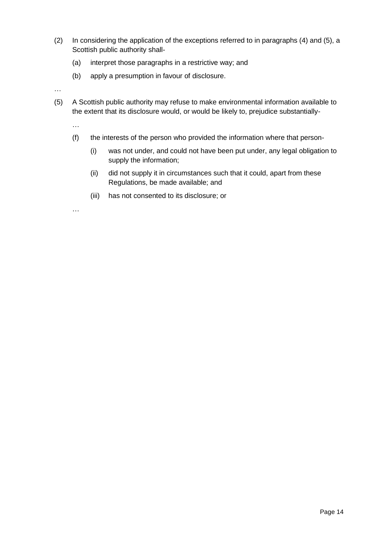- (2) In considering the application of the exceptions referred to in paragraphs (4) and (5), a Scottish public authority shall-
	- (a) interpret those paragraphs in a restrictive way; and
	- (b) apply a presumption in favour of disclosure.

…

(5) A Scottish public authority may refuse to make environmental information available to the extent that its disclosure would, or would be likely to, prejudice substantially-

…

- (f) the interests of the person who provided the information where that person-
	- (i) was not under, and could not have been put under, any legal obligation to supply the information;
	- (ii) did not supply it in circumstances such that it could, apart from these Regulations, be made available; and
	- (iii) has not consented to its disclosure; or

…